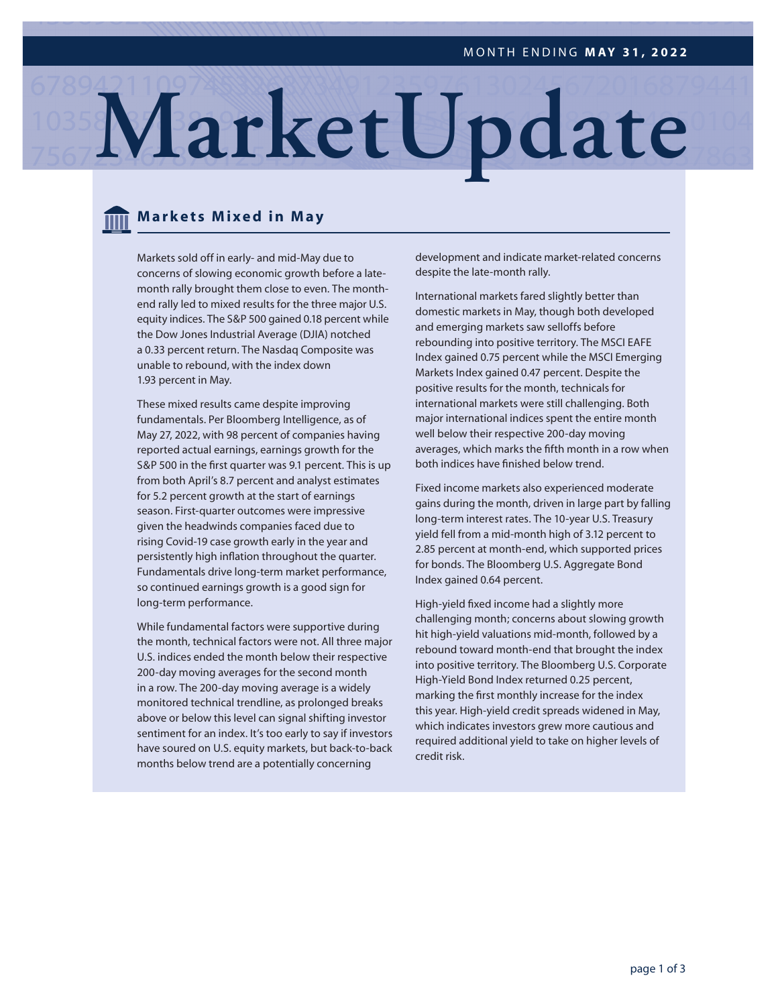# **MarketUpdate**

### **Markets Mixed in May**

Markets sold off in early- and mid-May due to concerns of slowing economic growth before a latemonth rally brought them close to even. The monthend rally led to mixed results for the three major U.S. equity indices. The S&P 500 gained 0.18 percent while the Dow Jones Industrial Average (DJIA) notched a 0.33 percent return. The Nasdaq Composite was unable to rebound, with the index down 1.93 percent in May.

These mixed results came despite improving fundamentals. Per Bloomberg Intelligence, as of May 27, 2022, with 98 percent of companies having reported actual earnings, earnings growth for the S&P 500 in the first quarter was 9.1 percent. This is up from both April's 8.7 percent and analyst estimates for 5.2 percent growth at the start of earnings season. First-quarter outcomes were impressive given the headwinds companies faced due to rising Covid-19 case growth early in the year and persistently high inflation throughout the quarter. Fundamentals drive long-term market performance, so continued earnings growth is a good sign for long-term performance.

While fundamental factors were supportive during the month, technical factors were not. All three major U.S. indices ended the month below their respective 200-day moving averages for the second month in a row. The 200-day moving average is a widely monitored technical trendline, as prolonged breaks above or below this level can signal shifting investor sentiment for an index. It's too early to say if investors have soured on U.S. equity markets, but back-to-back months below trend are a potentially concerning

development and indicate market-related concerns despite the late-month rally.

International markets fared slightly better than domestic markets in May, though both developed and emerging markets saw selloffs before rebounding into positive territory. The MSCI EAFE Index gained 0.75 percent while the MSCI Emerging Markets Index gained 0.47 percent. Despite the positive results for the month, technicals for international markets were still challenging. Both major international indices spent the entire month well below their respective 200-day moving averages, which marks the fifth month in a row when both indices have finished below trend.

Fixed income markets also experienced moderate gains during the month, driven in large part by falling long-term interest rates. The 10-year U.S. Treasury yield fell from a mid-month high of 3.12 percent to 2.85 percent at month-end, which supported prices for bonds. The Bloomberg U.S. Aggregate Bond Index gained 0.64 percent.

High-yield fixed income had a slightly more challenging month; concerns about slowing growth hit high-yield valuations mid-month, followed by a rebound toward month-end that brought the index into positive territory. The Bloomberg U.S. Corporate High-Yield Bond Index returned 0.25 percent, marking the first monthly increase for the index this year. High-yield credit spreads widened in May, which indicates investors grew more cautious and required additional yield to take on higher levels of credit risk.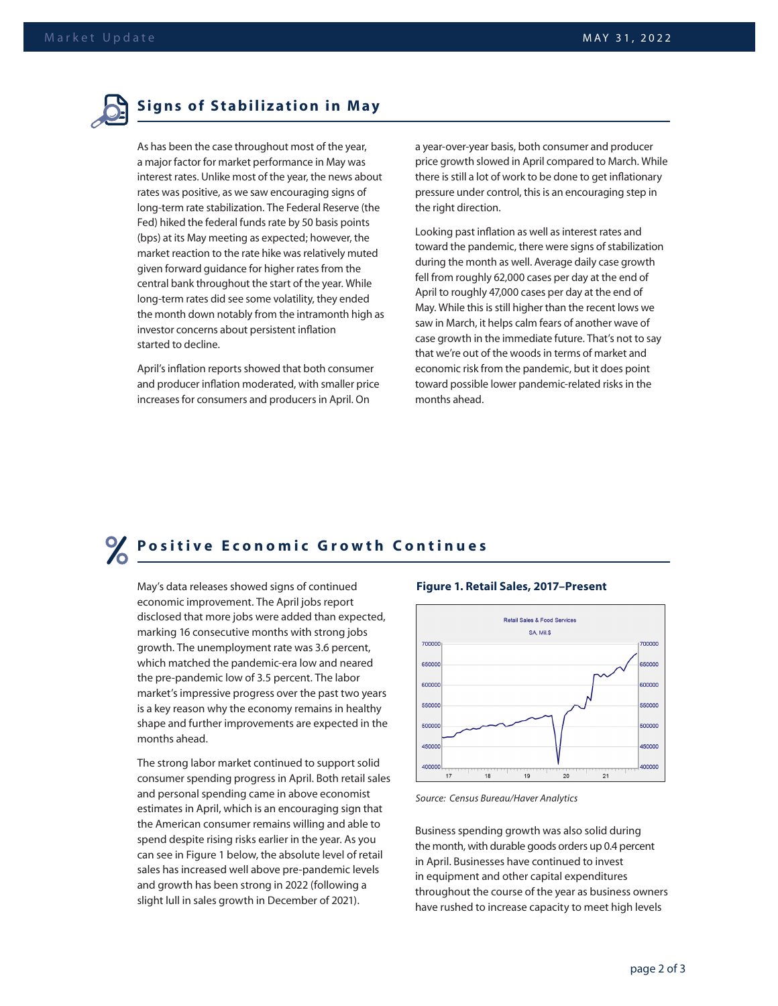

As has been the case throughout most of the year, a major factor for market performance in May was interest rates. Unlike most of the year, the news about rates was positive, as we saw encouraging signs of long-term rate stabilization. The Federal Reserve (the Fed) hiked the federal funds rate by 50 basis points (bps) at its May meeting as expected; however, the market reaction to the rate hike was relatively muted given forward guidance for higher rates from the central bank throughout the start of the year. While long-term rates did see some volatility, they ended the month down notably from the intramonth high as investor concerns about persistent inflation started to decline.

April's inflation reports showed that both consumer and producer inflation moderated, with smaller price increases for consumers and producers in April. On

a year-over-year basis, both consumer and producer price growth slowed in April compared to March. While there is still a lot of work to be done to get inflationary pressure under control, this is an encouraging step in the right direction.

Looking past inflation as well as interest rates and toward the pandemic, there were signs of stabilization during the month as well. Average daily case growth fell from roughly 62,000 cases per day at the end of April to roughly 47,000 cases per day at the end of May. While this is still higher than the recent lows we saw in March, it helps calm fears of another wave of case growth in the immediate future. That's not to say that we're out of the woods in terms of market and economic risk from the pandemic, but it does point toward possible lower pandemic-related risks in the months ahead.

## **Positive Economic Growth Continues**

May's data releases showed signs of continued economic improvement. The April jobs report disclosed that more jobs were added than expected, marking 16 consecutive months with strong jobs growth. The unemployment rate was 3.6 percent, which matched the pandemic-era low and neared the pre-pandemic low of 3.5 percent. The labor market's impressive progress over the past two years is a key reason why the economy remains in healthy shape and further improvements are expected in the months ahead.

The strong labor market continued to support solid consumer spending progress in April. Both retail sales and personal spending came in above economist estimates in April, which is an encouraging sign that the American consumer remains willing and able to spend despite rising risks earlier in the year. As you can see in Figure 1 below, the absolute level of retail sales has increased well above pre-pandemic levels and growth has been strong in 2022 (following a slight lull in sales growth in December of 2021).

#### **Figure 1. Retail Sales, 2017–Present**



*Source: Census Bureau/Haver Analytics*

Business spending growth was also solid during the month, with durable goods orders up 0.4 percent in April. Businesses have continued to invest in equipment and other capital expenditures throughout the course of the year as business owners have rushed to increase capacity to meet high levels